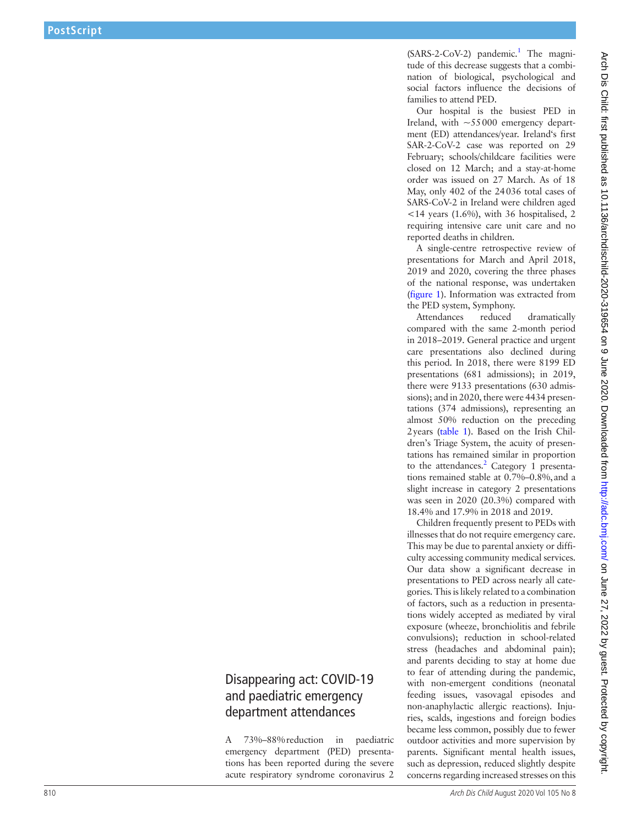(SARS-2-CoV-2) pandemic.<sup>[1](#page--1-0)</sup> The magnitude of this decrease suggests that a combi nation of biological, psychological and social factors influence the decisions of families to attend PED.

Our hospital is the busiest PED in Ireland, with  $\sim 55000$  emergency department (ED) attendances/year. Ireland's first SAR-2-CoV-2 case was reported on 29 February; schools/childcare facilities were closed on 12 March; and a stay-at-home order was issued on 27 March. As of 18 May, only 402 of the 24036 total cases of SARS-CoV-2 in Ireland were children aged  $14$  years (1.6%), with 36 hospitalised, 2 requiring intensive care unit care and no reported deaths in children.

A single-centre retrospective review of presentations for March and April 2018, 2019 and 2020, covering the three phases of the national response, was undertaken [\(figure](#page-1-0) 1). Information was extracted from the PED system, Symphony.

Attendances reduced dramatically compared with the same 2-month period in 2018–2019. General practice and urgent care presentations also declined during this period. In 2018, there were 8199 ED presentations (681 admissions); in 2019, there were 9133 presentations (630 admis sions); and in 2020, there were 4434 presen tations (374 admissions), representing an almost 50% reduction on the preceding 2years ([table](#page-1-1) 1). Based on the Irish Children's Triage System, the acuity of presentations has remained similar in proportion to the attendances.<sup>[2](#page--1-1)</sup> Category 1 presentations remained stable at 0.7%–0.8%, and a slight increase in category 2 presentations was seen in 2020 (20.3%) compared with 18.4% and 17.9% in 2018 and 2019.

Children frequently present to PEDs with illnesses that do not require emergency care. This may be due to parental anxiety or diffi culty accessing community medical services. Our data show a significant decrease in presentations to PED across nearly all cate gories. This is likely related to a combination of factors, such as a reduction in presenta tions widely accepted as mediated by viral exposure (wheeze, bronchiolitis and febrile convulsions); reduction in school-related stress (headaches and abdominal pain); and parents deciding to stay at home due to fear of attending during the pandemic, with non-emergent conditions (neonatal feeding issues, vasovagal episodes and non-anaphylactic allergic reactions). Inju ries, scalds, ingestions and foreign bodies became less common, possibly due to fewer outdoor activities and more supervision by parents. Significant mental health issues, such as depression, reduced slightly despite concerns regarding increased stresses on this

## Disappearing act: COVID-19 and paediatric emergency department attendances

A 73%–88%reduction in paediatric emergency department (PED) presenta tions has been reported during the severe acute respiratory syndrome coronavirus 2